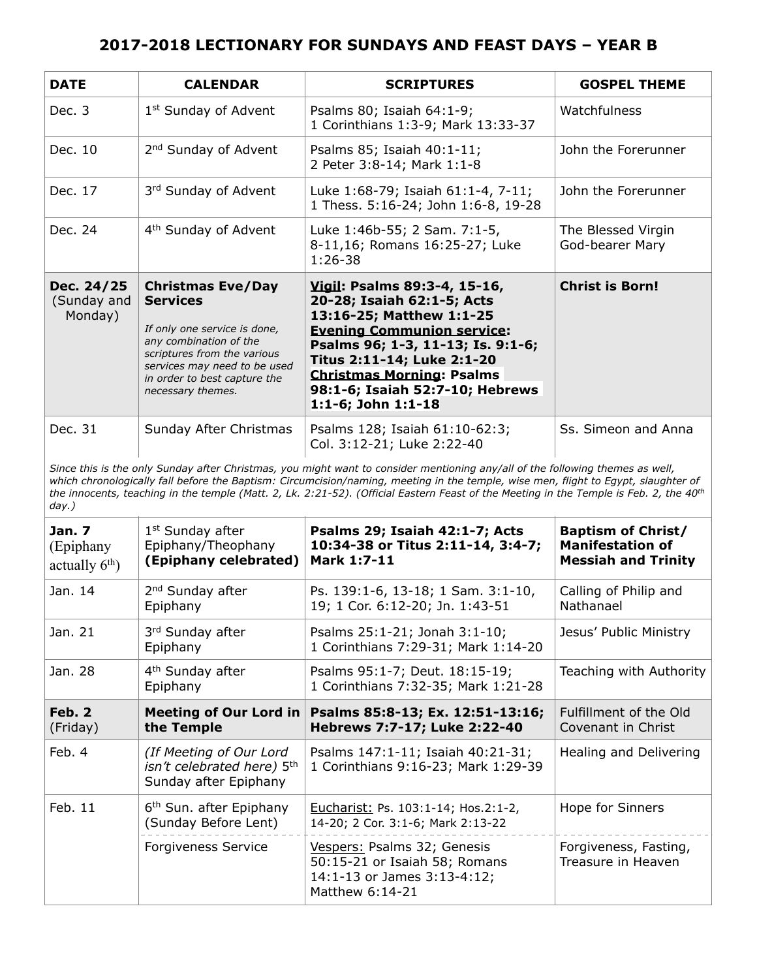| <b>DATE</b>                          | <b>CALENDAR</b>                                                                                                                                                                                                           | <b>SCRIPTURES</b>                                                                                                                                                                                                                                                                           | <b>GOSPEL THEME</b>                   |
|--------------------------------------|---------------------------------------------------------------------------------------------------------------------------------------------------------------------------------------------------------------------------|---------------------------------------------------------------------------------------------------------------------------------------------------------------------------------------------------------------------------------------------------------------------------------------------|---------------------------------------|
| Dec. $3$                             | 1 <sup>st</sup> Sunday of Advent                                                                                                                                                                                          | Psalms 80; Isaiah 64:1-9;<br>1 Corinthians 1:3-9; Mark 13:33-37                                                                                                                                                                                                                             | Watchfulness                          |
| Dec. 10                              | 2 <sup>nd</sup> Sunday of Advent                                                                                                                                                                                          | Psalms 85; Isaiah 40:1-11;<br>2 Peter 3:8-14; Mark 1:1-8                                                                                                                                                                                                                                    | John the Forerunner                   |
| Dec. 17                              | 3rd Sunday of Advent                                                                                                                                                                                                      | Luke 1:68-79; Isaiah 61:1-4, 7-11;<br>1 Thess. 5:16-24; John 1:6-8, 19-28                                                                                                                                                                                                                   | John the Forerunner                   |
| Dec. 24                              | 4 <sup>th</sup> Sunday of Advent                                                                                                                                                                                          | Luke 1:46b-55; 2 Sam. 7:1-5,<br>8-11,16; Romans 16:25-27; Luke<br>$1:26-38$                                                                                                                                                                                                                 | The Blessed Virgin<br>God-bearer Mary |
| Dec. 24/25<br>(Sunday and<br>Monday) | <b>Christmas Eve/Day</b><br><b>Services</b><br>If only one service is done,<br>any combination of the<br>scriptures from the various<br>services may need to be used<br>in order to best capture the<br>necessary themes. | Vigil: Psalms 89:3-4, 15-16,<br>20-28; Isaiah 62:1-5; Acts<br>13:16-25; Matthew 1:1-25<br><b>Evening Communion service:</b><br>Psalms 96; 1-3, 11-13; Is. 9:1-6;<br>Titus 2:11-14; Luke 2:1-20<br><b>Christmas Morning: Psalms</b><br>98:1-6; Isaiah 52:7-10; Hebrews<br>1:1-6; John 1:1-18 | <b>Christ is Born!</b>                |
| Dec. 31                              | Sunday After Christmas                                                                                                                                                                                                    | Psalms 128; Isaiah 61:10-62:3;<br>Col. 3:12-21; Luke 2:22-40                                                                                                                                                                                                                                | Ss. Simeon and Anna                   |

*Since this is the only Sunday after Christmas, you might want to consider mentioning any/all of the following themes as well, which chronologically fall before the Baptism: Circumcision/naming, meeting in the temple, wise men, flight to Egypt, slaughter of the innocents, teaching in the temple (Matt. 2, Lk. 2:21-52). (Official Eastern Feast of the Meeting in the Temple is Feb. 2, the 40th day.)*

| <b>Jan. 7</b><br>(Epiphany<br>actually $6th$ ) | 1 <sup>st</sup> Sunday after<br>Epiphany/Theophany<br>(Epiphany celebrated)                | Psalms 29; Isaiah 42:1-7; Acts<br>10:34-38 or Titus 2:11-14, 3:4-7;<br>Mark 1:7-11                             | <b>Baptism of Christ/</b><br><b>Manifestation of</b><br><b>Messiah and Trinity</b> |
|------------------------------------------------|--------------------------------------------------------------------------------------------|----------------------------------------------------------------------------------------------------------------|------------------------------------------------------------------------------------|
| Jan. 14                                        | 2 <sup>nd</sup> Sunday after<br>Epiphany                                                   | Ps. 139:1-6, 13-18; 1 Sam. 3:1-10,<br>19; 1 Cor. 6:12-20; Jn. 1:43-51                                          | Calling of Philip and<br>Nathanael                                                 |
| Jan. 21                                        | 3rd Sunday after<br>Epiphany                                                               | Psalms 25:1-21; Jonah 3:1-10;<br>1 Corinthians 7:29-31; Mark 1:14-20                                           | Jesus' Public Ministry                                                             |
| Jan. 28                                        | 4 <sup>th</sup> Sunday after<br>Epiphany                                                   | Psalms 95:1-7; Deut. 18:15-19;<br>1 Corinthians 7:32-35; Mark 1:21-28                                          | Teaching with Authority                                                            |
| Feh.2<br>(Friday)                              | Meeting of Our Lord in<br>the Temple                                                       | Psalms 85:8-13; Ex. 12:51-13:16;<br>Hebrews 7:7-17; Luke 2:22-40                                               | Fulfillment of the Old<br>Covenant in Christ                                       |
| Feb. 4                                         | (If Meeting of Our Lord<br>isn't celebrated here) 5 <sup>th</sup><br>Sunday after Epiphany | Psalms 147:1-11; Isaiah 40:21-31;<br>1 Corinthians 9:16-23; Mark 1:29-39                                       | Healing and Delivering                                                             |
| Feb. 11                                        | 6 <sup>th</sup> Sun. after Epiphany<br>(Sunday Before Lent)                                | Eucharist: Ps. 103:1-14; Hos.2:1-2,<br>14-20; 2 Cor. 3:1-6; Mark 2:13-22                                       | Hope for Sinners                                                                   |
|                                                | <b>Forgiveness Service</b>                                                                 | Vespers: Psalms 32; Genesis<br>50:15-21 or Isaiah 58; Romans<br>14:1-13 or James 3:13-4:12;<br>Matthew 6:14-21 | Forgiveness, Fasting,<br>Treasure in Heaven                                        |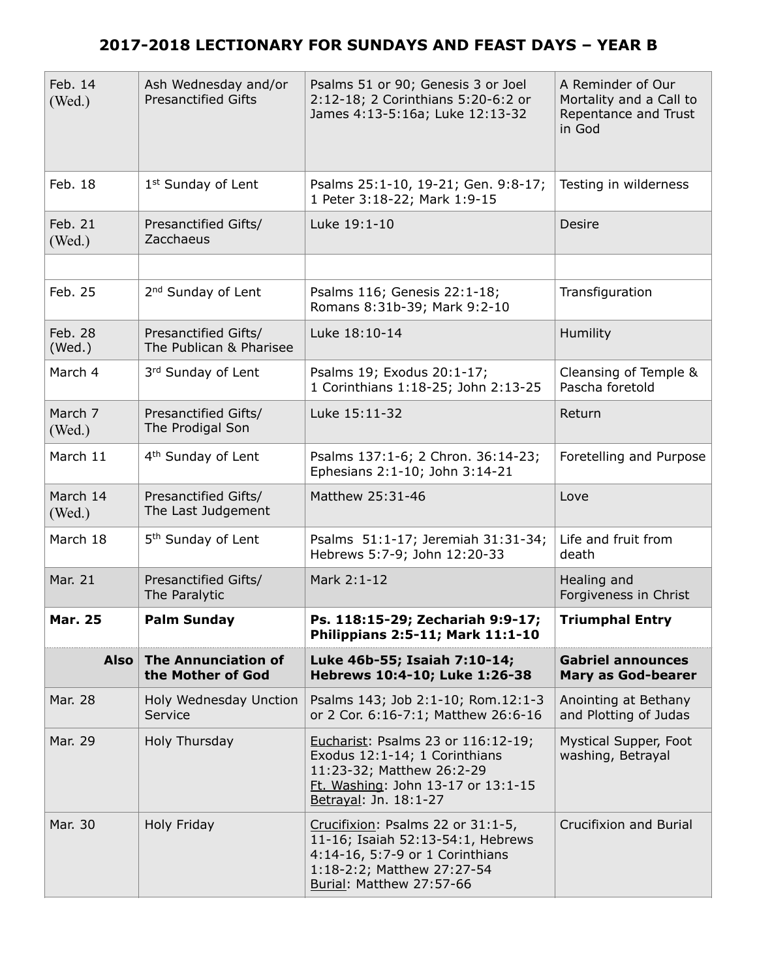| Feb. 14<br>(Wed.)  | Ash Wednesday and/or<br><b>Presanctified Gifts</b> | Psalms 51 or 90; Genesis 3 or Joel<br>2:12-18; 2 Corinthians 5:20-6:2 or<br>James 4:13-5:16a; Luke 12:13-32                                                         | A Reminder of Our<br>Mortality and a Call to<br>Repentance and Trust<br>in God |
|--------------------|----------------------------------------------------|---------------------------------------------------------------------------------------------------------------------------------------------------------------------|--------------------------------------------------------------------------------|
| Feb. 18            | 1 <sup>st</sup> Sunday of Lent                     | Psalms 25:1-10, 19-21; Gen. 9:8-17;<br>1 Peter 3:18-22; Mark 1:9-15                                                                                                 | Testing in wilderness                                                          |
| Feb. 21<br>(Wed.)  | Presanctified Gifts/<br>Zacchaeus                  | Luke 19:1-10                                                                                                                                                        | Desire                                                                         |
|                    |                                                    |                                                                                                                                                                     |                                                                                |
| Feb. 25            | 2 <sup>nd</sup> Sunday of Lent                     | Psalms 116; Genesis 22:1-18;<br>Romans 8:31b-39; Mark 9:2-10                                                                                                        | Transfiguration                                                                |
| Feb. 28<br>(Wed.)  | Presanctified Gifts/<br>The Publican & Pharisee    | Luke 18:10-14                                                                                                                                                       | Humility                                                                       |
| March 4            | 3rd Sunday of Lent                                 | Psalms 19; Exodus 20:1-17;<br>1 Corinthians 1:18-25; John 2:13-25                                                                                                   | Cleansing of Temple &<br>Pascha foretold                                       |
| March 7<br>(Wed.)  | Presanctified Gifts/<br>The Prodigal Son           | Luke 15:11-32                                                                                                                                                       | Return                                                                         |
| March 11           | 4 <sup>th</sup> Sunday of Lent                     | Psalms 137:1-6; 2 Chron. 36:14-23;<br>Ephesians 2:1-10; John 3:14-21                                                                                                | Foretelling and Purpose                                                        |
| March 14<br>(Wed.) | Presanctified Gifts/<br>The Last Judgement         | Matthew 25:31-46                                                                                                                                                    | Love                                                                           |
| March 18           | 5 <sup>th</sup> Sunday of Lent                     | Psalms 51:1-17; Jeremiah 31:31-34;<br>Hebrews 5:7-9; John 12:20-33                                                                                                  | Life and fruit from<br>death                                                   |
| Mar. 21            | Presanctified Gifts/<br>The Paralytic              | Mark 2:1-12                                                                                                                                                         | Healing and<br>Forgiveness in Christ                                           |
| Mar. 25            | Palm Sunday                                        | Ps. 118:15-29; Zechariah 9:9-17;<br>Philippians 2:5-11; Mark 11:1-10                                                                                                | <b>Triumphal Entry</b>                                                         |
| <b>Also</b>        | <b>The Annunciation of</b><br>the Mother of God    | Luke 46b-55; Isaiah 7:10-14;<br>Hebrews 10:4-10; Luke 1:26-38                                                                                                       | <b>Gabriel announces</b><br><b>Mary as God-bearer</b>                          |
| Mar. 28            | Holy Wednesday Unction<br>Service                  | Psalms 143; Job 2:1-10; Rom.12:1-3<br>or 2 Cor. 6:16-7:1; Matthew 26:6-16                                                                                           | Anointing at Bethany<br>and Plotting of Judas                                  |
| Mar. 29            | Holy Thursday                                      | Eucharist: Psalms 23 or 116:12-19;<br>Exodus 12:1-14; 1 Corinthians<br>11:23-32; Matthew 26:2-29<br>Ft. Washing: John 13-17 or 13:1-15<br>Betrayal: Jn. 18:1-27     | Mystical Supper, Foot<br>washing, Betrayal                                     |
| Mar. 30            | Holy Friday                                        | Crucifixion: Psalms 22 or 31:1-5,<br>11-16; Isaiah 52:13-54:1, Hebrews<br>4:14-16, 5:7-9 or 1 Corinthians<br>1:18-2:2; Matthew 27:27-54<br>Burial: Matthew 27:57-66 | Crucifixion and Burial                                                         |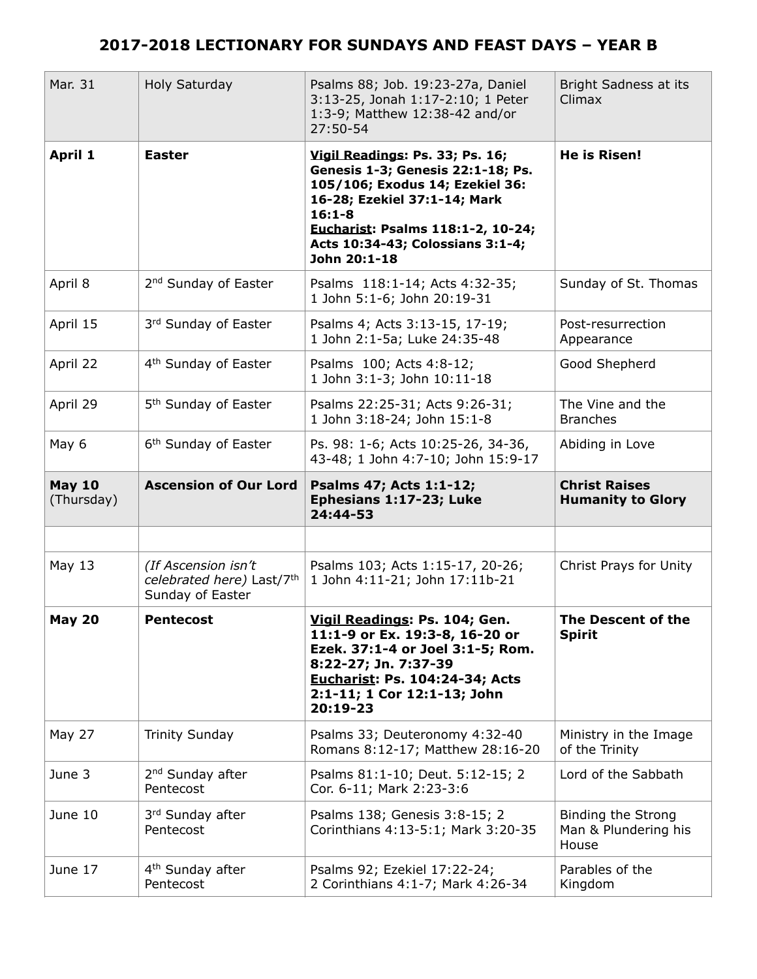| Mar. 31                     | Holy Saturday                                                        | Psalms 88; Job. 19:23-27a, Daniel<br>3:13-25, Jonah 1:17-2:10; 1 Peter<br>1:3-9; Matthew 12:38-42 and/or<br>$27:50-54$                                                                                                                         | Bright Sadness at its<br>Climax                     |
|-----------------------------|----------------------------------------------------------------------|------------------------------------------------------------------------------------------------------------------------------------------------------------------------------------------------------------------------------------------------|-----------------------------------------------------|
| April 1                     | <b>Easter</b>                                                        | Vigil Readings: Ps. 33; Ps. 16;<br>Genesis 1-3; Genesis 22:1-18; Ps.<br>105/106; Exodus 14; Ezekiel 36:<br>16-28; Ezekiel 37:1-14; Mark<br>$16:1 - 8$<br>Eucharist: Psalms 118:1-2, 10-24;<br>Acts 10:34-43; Colossians 3:1-4;<br>John 20:1-18 | <b>He is Risen!</b>                                 |
| April 8                     | 2 <sup>nd</sup> Sunday of Easter                                     | Psalms 118:1-14; Acts 4:32-35;<br>1 John 5:1-6; John 20:19-31                                                                                                                                                                                  | Sunday of St. Thomas                                |
| April 15                    | 3rd Sunday of Easter                                                 | Psalms 4; Acts 3:13-15, 17-19;<br>1 John 2:1-5a; Luke 24:35-48                                                                                                                                                                                 | Post-resurrection<br>Appearance                     |
| April 22                    | 4 <sup>th</sup> Sunday of Easter                                     | Psalms 100; Acts 4:8-12;<br>1 John 3:1-3; John 10:11-18                                                                                                                                                                                        | Good Shepherd                                       |
| April 29                    | 5 <sup>th</sup> Sunday of Easter                                     | Psalms 22:25-31; Acts 9:26-31;<br>1 John 3:18-24; John 15:1-8                                                                                                                                                                                  | The Vine and the<br><b>Branches</b>                 |
| May 6                       | 6 <sup>th</sup> Sunday of Easter                                     | Ps. 98: 1-6; Acts 10:25-26, 34-36,<br>43-48; 1 John 4:7-10; John 15:9-17                                                                                                                                                                       | Abiding in Love                                     |
| <b>May 10</b><br>(Thursday) | <b>Ascension of Our Lord</b>                                         | Psalms 47; Acts 1:1-12;<br>Ephesians 1:17-23; Luke<br>24:44-53                                                                                                                                                                                 | <b>Christ Raises</b><br><b>Humanity to Glory</b>    |
|                             |                                                                      |                                                                                                                                                                                                                                                |                                                     |
| May 13                      | (If Ascension isn't<br>celebrated here) Last/7th<br>Sunday of Easter | Psalms 103; Acts 1:15-17, 20-26;<br>1 John 4:11-21; John 17:11b-21                                                                                                                                                                             | Christ Prays for Unity                              |
| <b>May 20</b>               | Pentecost                                                            | Vigil Readings: Ps. 104; Gen.<br>11:1-9 or Ex. 19:3-8, 16-20 or<br>Ezek. 37:1-4 or Joel 3:1-5; Rom.<br>8:22-27; Jn. 7:37-39<br><b>Eucharist: Ps. 104:24-34; Acts</b><br>2:1-11; 1 Cor 12:1-13; John<br>20:19-23                                | The Descent of the<br><b>Spirit</b>                 |
| May 27                      | <b>Trinity Sunday</b>                                                | Psalms 33; Deuteronomy 4:32-40<br>Romans 8:12-17; Matthew 28:16-20                                                                                                                                                                             | Ministry in the Image<br>of the Trinity             |
| June 3                      | 2 <sup>nd</sup> Sunday after<br>Pentecost                            | Psalms 81:1-10; Deut. 5:12-15; 2<br>Cor. 6-11; Mark 2:23-3:6                                                                                                                                                                                   | Lord of the Sabbath                                 |
| June 10                     | 3rd Sunday after<br>Pentecost                                        | Psalms 138; Genesis 3:8-15; 2<br>Corinthians 4:13-5:1; Mark 3:20-35                                                                                                                                                                            | Binding the Strong<br>Man & Plundering his<br>House |
| June 17                     |                                                                      |                                                                                                                                                                                                                                                | Parables of the                                     |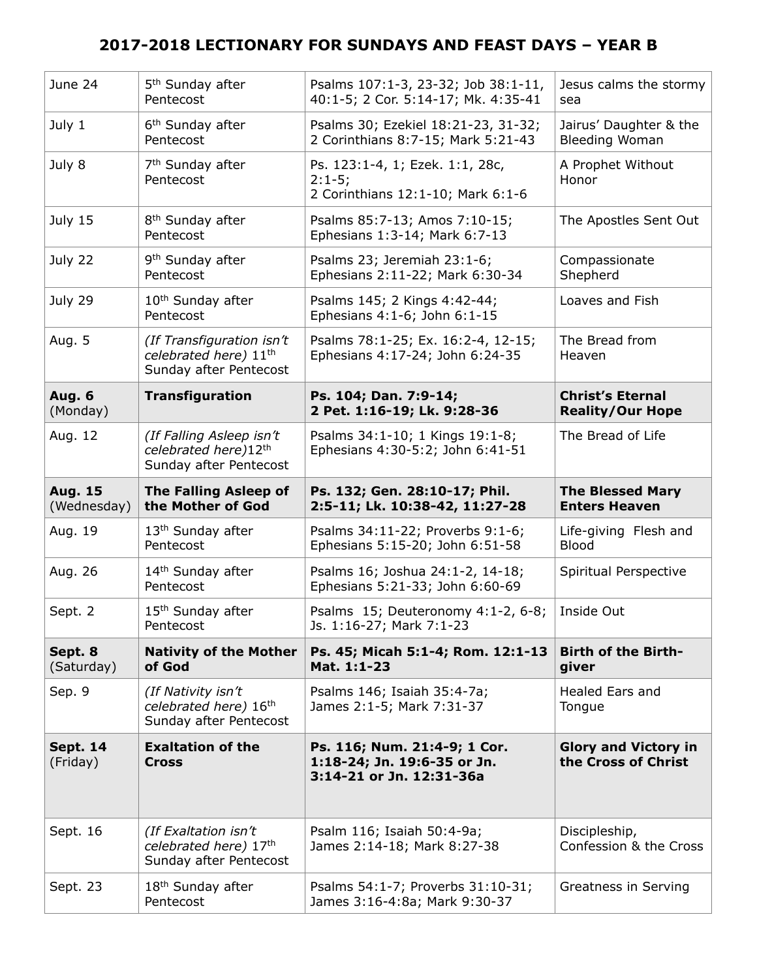| June 24                       | 5 <sup>th</sup> Sunday after<br>Pentecost                                                | Psalms 107:1-3, 23-32; Job 38:1-11,<br>40:1-5; 2 Cor. 5:14-17; Mk. 4:35-41              | Jesus calms the stormy<br>sea                      |
|-------------------------------|------------------------------------------------------------------------------------------|-----------------------------------------------------------------------------------------|----------------------------------------------------|
| July 1                        | 6 <sup>th</sup> Sunday after<br>Pentecost                                                | Psalms 30; Ezekiel 18:21-23, 31-32;<br>2 Corinthians 8:7-15; Mark 5:21-43               | Jairus' Daughter & the<br><b>Bleeding Woman</b>    |
| July 8                        | 7 <sup>th</sup> Sunday after<br>Pentecost                                                | Ps. 123:1-4, 1; Ezek. 1:1, 28c,<br>$2:1-5;$<br>2 Corinthians 12:1-10; Mark 6:1-6        | A Prophet Without<br>Honor                         |
| July 15                       | 8 <sup>th</sup> Sunday after<br>Pentecost                                                | Psalms 85:7-13; Amos 7:10-15;<br>Ephesians 1:3-14; Mark 6:7-13                          | The Apostles Sent Out                              |
| July 22                       | 9 <sup>th</sup> Sunday after<br>Pentecost                                                | Psalms 23; Jeremiah 23:1-6;<br>Ephesians 2:11-22; Mark 6:30-34                          | Compassionate<br>Shepherd                          |
| July 29                       | 10 <sup>th</sup> Sunday after<br>Pentecost                                               | Psalms 145; 2 Kings 4:42-44;<br>Ephesians 4:1-6; John 6:1-15                            | Loaves and Fish                                    |
| Aug. 5                        | (If Transfiguration isn't<br>celebrated here) 11 <sup>th</sup><br>Sunday after Pentecost | Psalms 78:1-25; Ex. 16:2-4, 12-15;<br>Ephesians 4:17-24; John 6:24-35                   | The Bread from<br>Heaven                           |
| <b>Aug. 6</b><br>(Monday)     | <b>Transfiguration</b>                                                                   | Ps. 104; Dan. 7:9-14;<br>2 Pet. 1:16-19; Lk. 9:28-36                                    | <b>Christ's Eternal</b><br><b>Reality/Our Hope</b> |
| Aug. 12                       | (If Falling Asleep isn't<br>celebrated here)12th<br>Sunday after Pentecost               | Psalms 34:1-10; 1 Kings 19:1-8;<br>Ephesians 4:30-5:2; John 6:41-51                     | The Bread of Life                                  |
| <b>Aug. 15</b><br>(Wednesday) | <b>The Falling Asleep of</b><br>the Mother of God                                        | Ps. 132; Gen. 28:10-17; Phil.<br>2:5-11; Lk. 10:38-42, 11:27-28                         | <b>The Blessed Mary</b><br><b>Enters Heaven</b>    |
|                               |                                                                                          |                                                                                         |                                                    |
| Aug. 19                       | 13 <sup>th</sup> Sunday after<br>Pentecost                                               | Psalms 34:11-22; Proverbs 9:1-6;<br>Ephesians 5:15-20; John 6:51-58                     | Life-giving Flesh and<br>Blood                     |
| Aug. 26                       | 14 <sup>th</sup> Sunday after<br>Pentecost                                               | Psalms 16; Joshua 24:1-2, 14-18;<br>Ephesians 5:21-33; John 6:60-69                     | Spiritual Perspective                              |
| Sept. 2                       | 15 <sup>th</sup> Sunday after<br>Pentecost                                               | Psalms 15; Deuteronomy 4:1-2, 6-8;<br>Js. 1:16-27; Mark 7:1-23                          | Inside Out                                         |
| Sept. 8<br>(Saturday)         | <b>Nativity of the Mother</b><br>of God                                                  | Ps. 45; Micah 5:1-4; Rom. 12:1-13<br>Mat. 1:1-23                                        | <b>Birth of the Birth-</b><br>giver                |
| Sep. 9                        | (If Nativity isn't<br>celebrated here) 16th<br>Sunday after Pentecost                    | Psalms 146; Isaiah 35:4-7a;<br>James 2:1-5; Mark 7:31-37                                | Healed Ears and<br>Tongue                          |
| <b>Sept. 14</b><br>(Friday)   | <b>Exaltation of the</b><br><b>Cross</b>                                                 | Ps. 116; Num. 21:4-9; 1 Cor.<br>1:18-24; Jn. 19:6-35 or Jn.<br>3:14-21 or Jn. 12:31-36a | <b>Glory and Victory in</b><br>the Cross of Christ |
| Sept. 16                      | (If Exaltation isn't<br>celebrated here) 17th<br>Sunday after Pentecost                  | Psalm 116; Isaiah 50:4-9a;<br>James 2:14-18; Mark 8:27-38                               | Discipleship,<br>Confession & the Cross            |